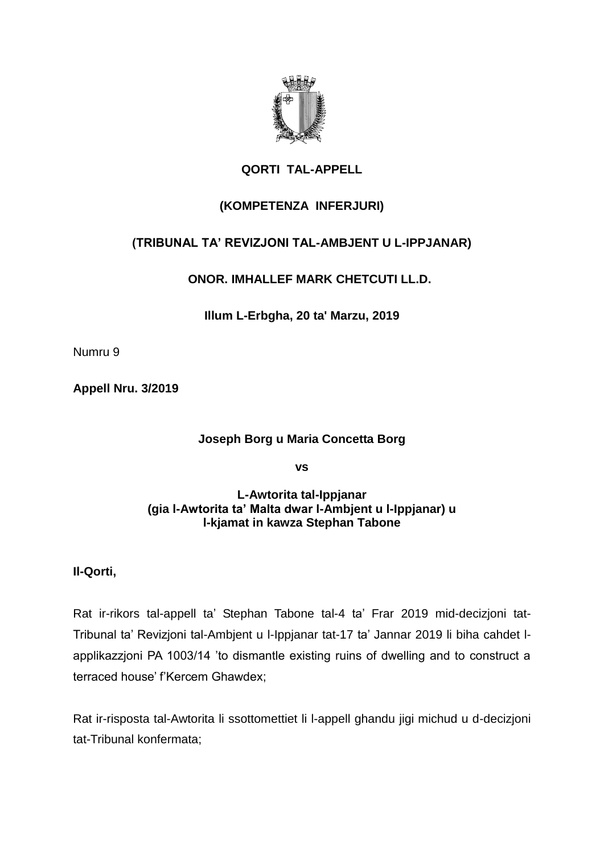

# **QORTI TAL-APPELL**

# **(KOMPETENZA INFERJURI)**

## **(TRIBUNAL TA' REVIZJONI TAL-AMBJENT U L-IPPJANAR)**

**ONOR. IMHALLEF MARK CHETCUTI LL.D.**

**Illum L-Erbgha, 20 ta' Marzu, 2019**

Numru 9

**Appell Nru. 3/2019**

## **Joseph Borg u Maria Concetta Borg**

**vs**

### **L-Awtorita tal-Ippjanar (gia l-Awtorita ta' Malta dwar l-Ambjent u l-Ippjanar) u l-kjamat in kawza Stephan Tabone**

## **Il-Qorti,**

Rat ir-rikors tal-appell ta' Stephan Tabone tal-4 ta' Frar 2019 mid-decizjoni tat-Tribunal ta' Revizjoni tal-Ambjent u l-Ippjanar tat-17 ta' Jannar 2019 li biha cahdet lapplikazzjoni PA 1003/14 'to dismantle existing ruins of dwelling and to construct a terraced house' f'Kercem Ghawdex;

Rat ir-risposta tal-Awtorita li ssottomettiet li l-appell ghandu jigi michud u d-decizjoni tat-Tribunal konfermata;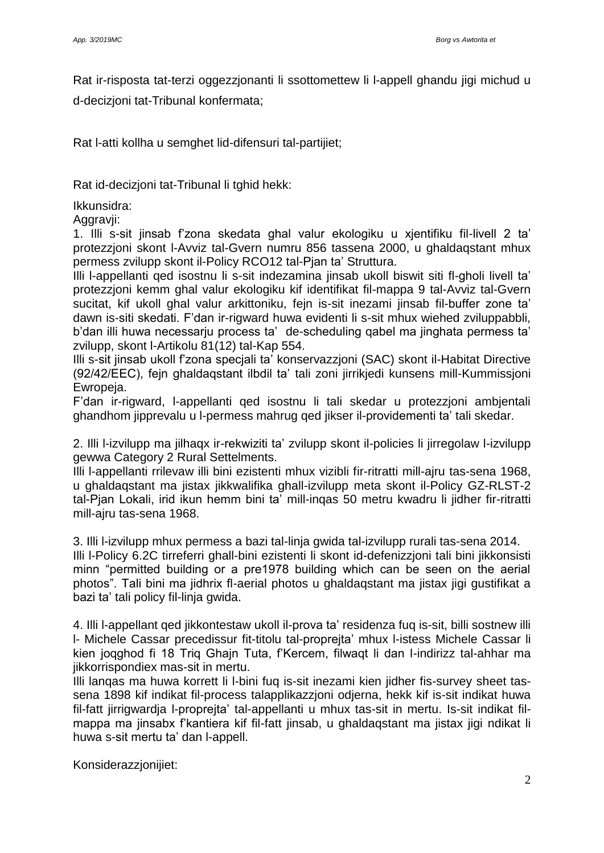Rat ir-risposta tat-terzi oggezzjonanti li ssottomettew li l-appell ghandu jigi michud u d-decizjoni tat-Tribunal konfermata;

Rat l-atti kollha u semghet lid-difensuri tal-partijiet;

Rat id-decizjoni tat-Tribunal li tghid hekk:

Ikkunsidra:

Aggravii:

1. Illi s-sit jinsab f'zona skedata ghal valur ekologiku u xjentifiku fil-livell 2 ta' protezzjoni skont l-Avviz tal-Gvern numru 856 tassena 2000, u ghaldaqstant mhux permess zvilupp skont il-Policy RCO12 tal-Pjan ta' Struttura.

Illi l-appellanti qed isostnu li s-sit indezamina jinsab ukoll biswit siti fl-gholi livell ta' protezzjoni kemm ghal valur ekologiku kif identifikat fil-mappa 9 tal-Avviz tal-Gvern sucitat, kif ukoll ghal valur arkittoniku, fejn is-sit inezami jinsab fil-buffer zone ta' dawn is-siti skedati. F'dan ir-rigward huwa evidenti li s-sit mhux wiehed zviluppabbli, b'dan illi huwa necessarju process ta' de-scheduling qabel ma jinghata permess ta' zvilupp, skont l-Artikolu 81(12) tal-Kap 554.

Illi s-sit jinsab ukoll f'zona specjali ta' konservazzjoni (SAC) skont il-Habitat Directive (92/42/EEC), fejn ghaldaqstant ilbdil ta' tali zoni jirrikjedi kunsens mill-Kummissjoni Ewropeja.

F'dan ir-rigward, l-appellanti qed isostnu li tali skedar u protezzjoni ambjentali ghandhom jipprevalu u l-permess mahrug qed jikser il-providementi ta' tali skedar.

2. Illi l-izvilupp ma jilhaqx ir-rekwiziti ta' zvilupp skont il-policies li jirregolaw l-izvilupp gewwa Category 2 Rural Settelments.

Illi l-appellanti rrilevaw illi bini ezistenti mhux vizibli fir-ritratti mill-ajru tas-sena 1968, u ghaldaqstant ma jistax jikkwalifika ghall-izvilupp meta skont il-Policy GZ-RLST-2 tal-Pjan Lokali, irid ikun hemm bini ta' mill-inqas 50 metru kwadru li jidher fir-ritratti mill-ajru tas-sena 1968.

3. Illi l-izvilupp mhux permess a bazi tal-linja gwida tal-izvilupp rurali tas-sena 2014. Illi l-Policy 6.2C tirreferri ghall-bini ezistenti li skont id-defenizzjoni tali bini jikkonsisti minn "permitted building or a pre1978 building which can be seen on the aerial photos". Tali bini ma jidhrix fl-aerial photos u ghaldaqstant ma jistax jigi gustifikat a bazi ta' tali policy fil-linja gwida.

4. Illi l-appellant qed jikkontestaw ukoll il-prova ta' residenza fuq is-sit, billi sostnew illi l- Michele Cassar precedissur fit-titolu tal-proprejta' mhux l-istess Michele Cassar li kien joqghod fi 18 Triq Ghajn Tuta, f'Kercem, filwaqt li dan l-indirizz tal-ahhar ma jikkorrispondiex mas-sit in mertu.

Illi lanqas ma huwa korrett li l-bini fuq is-sit inezami kien jidher fis-survey sheet tassena 1898 kif indikat fil-process talapplikazzjoni odjerna, hekk kif is-sit indikat huwa fil-fatt jirrigwardja l-proprejta' tal-appellanti u mhux tas-sit in mertu. Is-sit indikat filmappa ma jinsabx f'kantiera kif fil-fatt jinsab, u ghaldaqstant ma jistax jigi ndikat li huwa s-sit mertu ta' dan l-appell.

Konsiderazzjonijiet: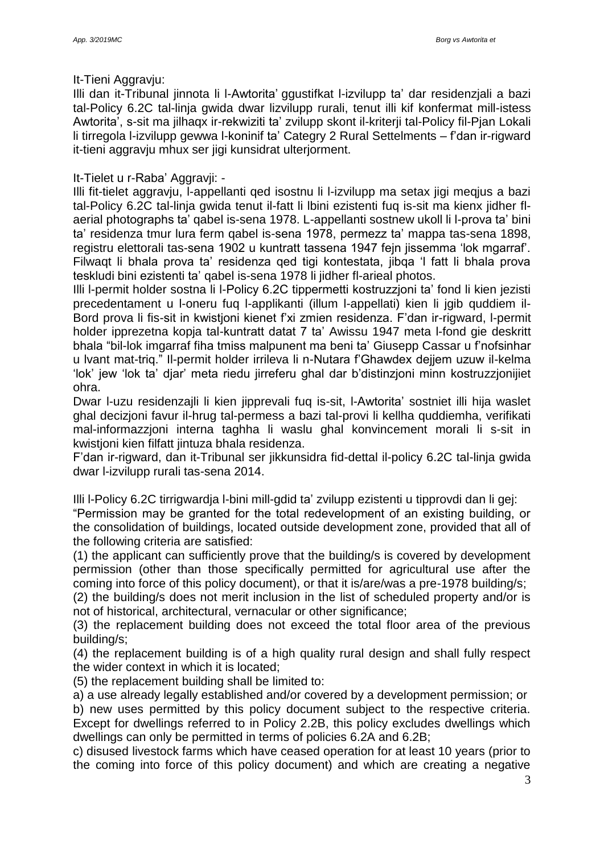#### It-Tieni Aggravju:

Illi dan it-Tribunal jinnota li l-Awtorita' ggustifkat l-izvilupp ta' dar residenzjali a bazi tal-Policy 6.2C tal-linja gwida dwar lizvilupp rurali, tenut illi kif konfermat mill-istess Awtorita', s-sit ma jilhaqx ir-rekwiziti ta' zvilupp skont il-kriterji tal-Policy fil-Pjan Lokali li tirregola l-izvilupp gewwa l-koninif ta' Categry 2 Rural Settelments – f'dan ir-rigward it-tieni aggravju mhux ser jigi kunsidrat ulterjorment.

### It-Tielet u r-Raba' Aggravji: -

Illi fit-tielet aggravju, l-appellanti qed isostnu li l-izvilupp ma setax jigi meqjus a bazi tal-Policy 6.2C tal-linja gwida tenut il-fatt li lbini ezistenti fuq is-sit ma kienx jidher flaerial photographs ta' qabel is-sena 1978. L-appellanti sostnew ukoll li l-prova ta' bini ta' residenza tmur lura ferm qabel is-sena 1978, permezz ta' mappa tas-sena 1898, registru elettorali tas-sena 1902 u kuntratt tassena 1947 fejn jissemma 'lok mgarraf'. Filwaqt li bhala prova ta' residenza qed tigi kontestata, jibqa 'l fatt li bhala prova teskludi bini ezistenti ta' qabel is-sena 1978 li jidher fl-arieal photos.

Illi l-permit holder sostna li l-Policy 6.2C tippermetti kostruzzjoni ta' fond li kien jezisti precedentament u l-oneru fuq l-applikanti (illum l-appellati) kien li jgib quddiem il-Bord prova li fis-sit in kwistjoni kienet f'xi zmien residenza. F'dan ir-rigward, l-permit holder ipprezetna kopja tal-kuntratt datat 7 ta' Awissu 1947 meta l-fond gie deskritt bhala "bil-lok imgarraf fiha tmiss malpunent ma beni ta' Giusepp Cassar u f'nofsinhar u lvant mat-triq." Il-permit holder irrileva li n-Nutara f'Ghawdex dejjem uzuw il-kelma 'lok' jew 'lok ta' djar' meta riedu jirreferu ghal dar b'distinzjoni minn kostruzzjonijiet ohra.

Dwar l-uzu residenzajli li kien jipprevali fuq is-sit, l-Awtorita' sostniet illi hija waslet ghal decizjoni favur il-hrug tal-permess a bazi tal-provi li kellha quddiemha, verifikati mal-informazzjoni interna taghha li waslu ghal konvincement morali li s-sit in kwistjoni kien filfatt jintuza bhala residenza.

F'dan ir-rigward, dan it-Tribunal ser jikkunsidra fid-dettal il-policy 6.2C tal-linja gwida dwar l-izvilupp rurali tas-sena 2014.

Illi l-Policy 6.2C tirrigwardja l-bini mill-gdid ta' zvilupp ezistenti u tipprovdi dan li gej: "Permission may be granted for the total redevelopment of an existing building, or the consolidation of buildings, located outside development zone, provided that all of the following criteria are satisfied:

(1) the applicant can sufficiently prove that the building/s is covered by development permission (other than those specifically permitted for agricultural use after the coming into force of this policy document), or that it is/are/was a pre-1978 building/s;

(2) the building/s does not merit inclusion in the list of scheduled property and/or is not of historical, architectural, vernacular or other significance;

(3) the replacement building does not exceed the total floor area of the previous building/s;

(4) the replacement building is of a high quality rural design and shall fully respect the wider context in which it is located;

(5) the replacement building shall be limited to:

a) a use already legally established and/or covered by a development permission; or b) new uses permitted by this policy document subject to the respective criteria. Except for dwellings referred to in Policy 2.2B, this policy excludes dwellings which dwellings can only be permitted in terms of policies 6.2A and 6.2B;

c) disused livestock farms which have ceased operation for at least 10 years (prior to the coming into force of this policy document) and which are creating a negative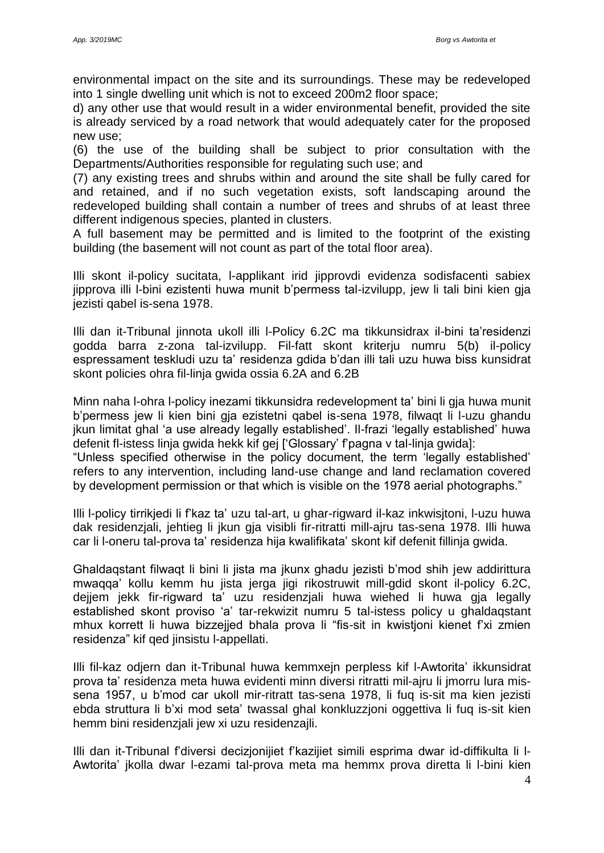environmental impact on the site and its surroundings. These may be redeveloped into 1 single dwelling unit which is not to exceed 200m2 floor space;

d) any other use that would result in a wider environmental benefit, provided the site is already serviced by a road network that would adequately cater for the proposed new use;

(6) the use of the building shall be subject to prior consultation with the Departments/Authorities responsible for regulating such use; and

(7) any existing trees and shrubs within and around the site shall be fully cared for and retained, and if no such vegetation exists, soft landscaping around the redeveloped building shall contain a number of trees and shrubs of at least three different indigenous species, planted in clusters.

A full basement may be permitted and is limited to the footprint of the existing building (the basement will not count as part of the total floor area).

Illi skont il-policy sucitata, l-applikant irid jipprovdi evidenza sodisfacenti sabiex jipprova illi l-bini ezistenti huwa munit b'permess tal-izvilupp, jew li tali bini kien gja jezisti qabel is-sena 1978.

Illi dan it-Tribunal jinnota ukoll illi l-Policy 6.2C ma tikkunsidrax il-bini ta'residenzi godda barra z-zona tal-izvilupp. Fil-fatt skont kriterju numru 5(b) il-policy espressament teskludi uzu ta' residenza gdida b'dan illi tali uzu huwa biss kunsidrat skont policies ohra fil-linja gwida ossia 6.2A and 6.2B

Minn naha l-ohra l-policy inezami tikkunsidra redevelopment ta' bini li gja huwa munit b'permess jew li kien bini gja ezistetni qabel is-sena 1978, filwaqt li l-uzu ghandu jkun limitat ghal 'a use already legally established'. Il-frazi 'legally established' huwa defenit fl-istess linja gwida hekk kif gej ['Glossary' f'pagna v tal-linja gwida]:

"Unless specified otherwise in the policy document, the term 'legally established' refers to any intervention, including land-use change and land reclamation covered by development permission or that which is visible on the 1978 aerial photographs."

Illi l-policy tirrikjedi li f'kaz ta' uzu tal-art, u ghar-rigward il-kaz inkwisjtoni, l-uzu huwa dak residenzjali, jehtieg li jkun gja visibli fir-ritratti mill-ajru tas-sena 1978. Illi huwa car li l-oneru tal-prova ta' residenza hija kwalifikata' skont kif defenit fillinja gwida.

Ghaldaqstant filwaqt li bini li jista ma jkunx ghadu jezisti b'mod shih jew addirittura mwaqqa' kollu kemm hu jista jerga jigi rikostruwit mill-gdid skont il-policy 6.2C, dejjem jekk fir-rigward ta' uzu residenzjali huwa wiehed li huwa gja legally established skont proviso 'a' tar-rekwizit numru 5 tal-istess policy u ghaldaqstant mhux korrett li huwa bizzejjed bhala prova li "fis-sit in kwistjoni kienet f'xi zmien residenza" kif qed jinsistu l-appellati.

Illi fil-kaz odjern dan it-Tribunal huwa kemmxejn perpless kif l-Awtorita' ikkunsidrat prova ta' residenza meta huwa evidenti minn diversi ritratti mil-ajru li jmorru lura missena 1957, u b'mod car ukoll mir-ritratt tas-sena 1978, li fuq is-sit ma kien jezisti ebda struttura li b'xi mod seta' twassal ghal konkluzzjoni oggettiva li fuq is-sit kien hemm bini residenzjali jew xi uzu residenzajli.

Illi dan it-Tribunal f'diversi decizjonijiet f'kazijiet simili esprima dwar id-diffikulta li l-Awtorita' jkolla dwar l-ezami tal-prova meta ma hemmx prova diretta li l-bini kien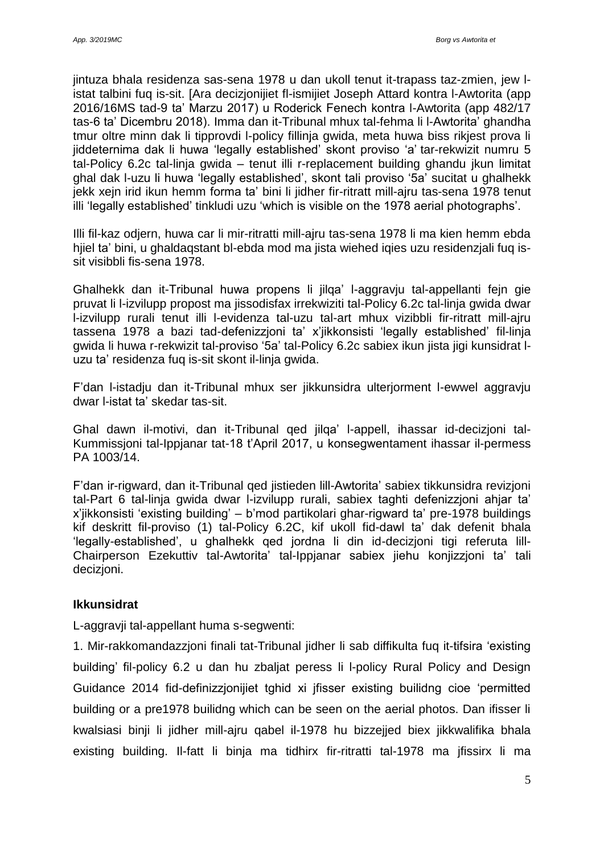jintuza bhala residenza sas-sena 1978 u dan ukoll tenut it-trapass taz-zmien, jew listat talbini fuq is-sit. [Ara decizjonijiet fl-ismijiet Joseph Attard kontra l-Awtorita (app 2016/16MS tad-9 ta' Marzu 2017) u Roderick Fenech kontra l-Awtorita (app 482/17 tas-6 ta' Dicembru 2018). Imma dan it-Tribunal mhux tal-fehma li l-Awtorita' ghandha tmur oltre minn dak li tipprovdi l-policy fillinja gwida, meta huwa biss rikjest prova li jiddeternima dak li huwa 'legally established' skont proviso 'a' tar-rekwizit numru 5 tal-Policy 6.2c tal-linja gwida – tenut illi r-replacement building ghandu jkun limitat ghal dak l-uzu li huwa 'legally established', skont tali proviso '5a' sucitat u ghalhekk jekk xejn irid ikun hemm forma ta' bini li jidher fir-ritratt mill-ajru tas-sena 1978 tenut illi 'legally established' tinkludi uzu 'which is visible on the 1978 aerial photographs'.

Illi fil-kaz odjern, huwa car li mir-ritratti mill-ajru tas-sena 1978 li ma kien hemm ebda hjiel ta' bini, u ghaldaqstant bl-ebda mod ma jista wiehed iqies uzu residenzjali fuq issit visibbli fis-sena 1978.

Ghalhekk dan it-Tribunal huwa propens li jilqa' l-aggravju tal-appellanti fejn gie pruvat li l-izvilupp propost ma jissodisfax irrekwiziti tal-Policy 6.2c tal-linja gwida dwar l-izvilupp rurali tenut illi l-evidenza tal-uzu tal-art mhux vizibbli fir-ritratt mill-ajru tassena 1978 a bazi tad-defenizzjoni ta' x'jikkonsisti 'legally established' fil-linja gwida li huwa r-rekwizit tal-proviso '5a' tal-Policy 6.2c sabiex ikun jista jigi kunsidrat luzu ta' residenza fuq is-sit skont il-linja gwida.

F'dan l-istadju dan it-Tribunal mhux ser jikkunsidra ulterjorment l-ewwel aggravju dwar l-istat ta' skedar tas-sit.

Ghal dawn il-motivi, dan it-Tribunal qed jilqa' l-appell, ihassar id-decizjoni tal-Kummissjoni tal-Ippjanar tat-18 t'April 2017, u konsegwentament ihassar il-permess PA 1003/14.

F'dan ir-rigward, dan it-Tribunal qed jistieden lill-Awtorita' sabiex tikkunsidra revizjoni tal-Part 6 tal-linja gwida dwar l-izvilupp rurali, sabiex taghti defenizzjoni ahjar ta' x'jikkonsisti 'existing building' – b'mod partikolari ghar-rigward ta' pre-1978 buildings kif deskritt fil-proviso (1) tal-Policy 6.2C, kif ukoll fid-dawl ta' dak defenit bhala 'legally-established', u ghalhekk qed jordna li din id-decizjoni tigi referuta lill-Chairperson Ezekuttiv tal-Awtorita' tal-Ippjanar sabiex jiehu konjizzjoni ta' tali decizjoni.

## **Ikkunsidrat**

L-aggravji tal-appellant huma s-segwenti:

1. Mir-rakkomandazzjoni finali tat-Tribunal jidher li sab diffikulta fuq it-tifsira 'existing building' fil-policy 6.2 u dan hu zbaljat peress li l-policy Rural Policy and Design Guidance 2014 fid-definizzjonijiet tghid xi jfisser existing builidng cioe 'permitted building or a pre1978 builidng which can be seen on the aerial photos. Dan ifisser li kwalsiasi binji li jidher mill-ajru qabel il-1978 hu bizzejjed biex jikkwalifika bhala existing building. Il-fatt li binja ma tidhirx fir-ritratti tal-1978 ma jfissirx li ma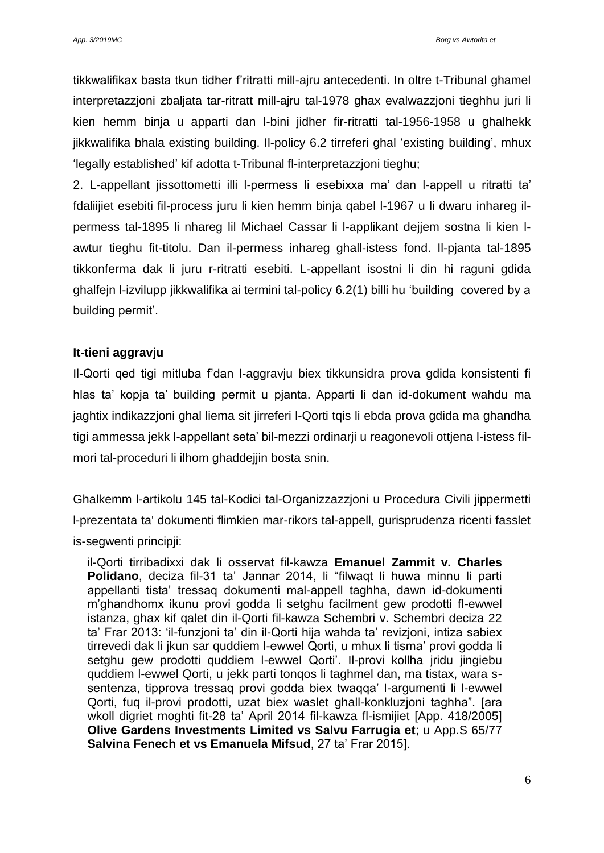tikkwalifikax basta tkun tidher f'ritratti mill-ajru antecedenti. In oltre t-Tribunal ghamel interpretazzjoni zbaljata tar-ritratt mill-ajru tal-1978 ghax evalwazzjoni tieghhu juri li kien hemm binja u apparti dan l-bini jidher fir-ritratti tal-1956-1958 u ghalhekk jikkwalifika bhala existing building. Il-policy 6.2 tirreferi ghal 'existing building', mhux 'legally established' kif adotta t-Tribunal fl-interpretazzjoni tieghu;

2. L-appellant jissottometti illi l-permess li esebixxa ma' dan l-appell u ritratti ta' fdaliijiet esebiti fil-process juru li kien hemm binja qabel l-1967 u li dwaru inhareg ilpermess tal-1895 li nhareg lil Michael Cassar li l-applikant dejjem sostna li kien lawtur tieghu fit-titolu. Dan il-permess inhareg ghall-istess fond. Il-pjanta tal-1895 tikkonferma dak li juru r-ritratti esebiti. L-appellant isostni li din hi raguni gdida ghalfejn l-izvilupp jikkwalifika ai termini tal-policy 6.2(1) billi hu 'building covered by a building permit'.

### **It-tieni aggravju**

Il-Qorti qed tigi mitluba f'dan l-aggravju biex tikkunsidra prova gdida konsistenti fi hlas ta' kopja ta' building permit u pjanta. Apparti li dan id-dokument wahdu ma jaghtix indikazzjoni ghal liema sit jirreferi l-Qorti tqis li ebda prova gdida ma ghandha tigi ammessa jekk l-appellant seta' bil-mezzi ordinarji u reagonevoli ottjena l-istess filmori tal-proceduri li ilhom ghaddejjin bosta snin.

Ghalkemm l-artikolu 145 tal-Kodici tal-Organizzazzjoni u Procedura Civili jippermetti l-prezentata ta' dokumenti flimkien mar-rikors tal-appell, gurisprudenza ricenti fasslet is-segwenti principji:

il-Qorti tirribadixxi dak li osservat fil-kawza **Emanuel Zammit v. Charles Polidano**, deciza fil-31 ta' Jannar 2014, li "filwaqt li huwa minnu li parti appellanti tista' tressaq dokumenti mal-appell taghha, dawn id-dokumenti m'ghandhomx ikunu provi godda li setghu facilment gew prodotti fl-ewwel istanza, ghax kif qalet din il-Qorti fil-kawza Schembri v. Schembri deciza 22 ta' Frar 2013: 'il-funzjoni ta' din il-Qorti hija wahda ta' revizjoni, intiza sabiex tirrevedi dak li jkun sar quddiem l-ewwel Qorti, u mhux li tisma' provi godda li setghu gew prodotti quddiem l-ewwel Qorti'. Il-provi kollha jridu jingiebu quddiem l-ewwel Qorti, u jekk parti tonqos li taghmel dan, ma tistax, wara ssentenza, tipprova tressaq provi godda biex twaqqa' l-argumenti li l-ewwel Qorti, fuq il-provi prodotti, uzat biex waslet ghall-konkluzjoni taghha". [ara wkoll digriet moghti fit-28 ta' April 2014 fil-kawza fl-ismijiet [App. 418/2005] **Olive Gardens Investments Limited vs Salvu Farrugia et**; u App.S 65/77 **Salvina Fenech et vs Emanuela Mifsud**, 27 ta' Frar 2015].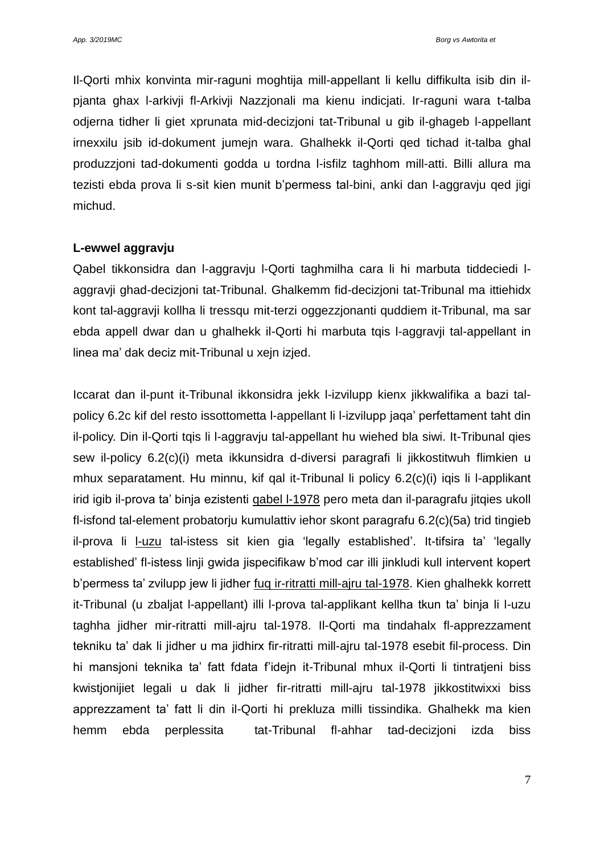Il-Qorti mhix konvinta mir-raguni moghtija mill-appellant li kellu diffikulta isib din ilpjanta ghax l-arkivji fl-Arkivji Nazzjonali ma kienu indicjati. Ir-raguni wara t-talba odjerna tidher li giet xprunata mid-decizjoni tat-Tribunal u gib il-ghageb l-appellant irnexxilu jsib id-dokument jumejn wara. Ghalhekk il-Qorti qed tichad it-talba ghal produzzjoni tad-dokumenti godda u tordna l-isfilz taghhom mill-atti. Billi allura ma tezisti ebda prova li s-sit kien munit b'permess tal-bini, anki dan l-aggravju qed jigi michud.

#### **L-ewwel aggravju**

Qabel tikkonsidra dan l-aggravju l-Qorti taghmilha cara li hi marbuta tiddeciedi laggravji ghad-decizjoni tat-Tribunal. Ghalkemm fid-decizjoni tat-Tribunal ma ittiehidx kont tal-aggravji kollha li tressqu mit-terzi oggezzjonanti quddiem it-Tribunal, ma sar ebda appell dwar dan u ghalhekk il-Qorti hi marbuta tqis l-aggravji tal-appellant in linea ma' dak deciz mit-Tribunal u xejn izjed.

Iccarat dan il-punt it-Tribunal ikkonsidra jekk l-izvilupp kienx jikkwalifika a bazi talpolicy 6.2c kif del resto issottometta l-appellant li l-izvilupp jaqa' perfettament taht din il-policy. Din il-Qorti tqis li l-aggravju tal-appellant hu wiehed bla siwi. It-Tribunal qies sew il-policy 6.2(c)(i) meta ikkunsidra d-diversi paragrafi li jikkostitwuh flimkien u mhux separatament. Hu minnu, kif qal it-Tribunal li policy 6.2(c)(i) iqis li l-applikant irid igib il-prova ta' binja ezistenti qabel l-1978 pero meta dan il-paragrafu jitqies ukoll fl-isfond tal-element probatorju kumulattiv iehor skont paragrafu 6.2(c)(5a) trid tingieb il-prova li l-uzu tal-istess sit kien gia 'legally established'. It-tifsira ta' 'legally established' fl-istess linji gwida jispecifikaw b'mod car illi jinkludi kull intervent kopert b'permess ta' zvilupp jew li jidher fuq ir-ritratti mill-ajru tal-1978. Kien ghalhekk korrett it-Tribunal (u zbaljat l-appellant) illi l-prova tal-applikant kellha tkun ta' binja li l-uzu taghha jidher mir-ritratti mill-ajru tal-1978. Il-Qorti ma tindahalx fl-apprezzament tekniku ta' dak li jidher u ma jidhirx fir-ritratti mill-ajru tal-1978 esebit fil-process. Din hi mansjoni teknika ta' fatt fdata f'idejn it-Tribunal mhux il-Qorti li tintratjeni biss kwistjonijiet legali u dak li jidher fir-ritratti mill-ajru tal-1978 jikkostitwixxi biss apprezzament ta' fatt li din il-Qorti hi prekluza milli tissindika. Ghalhekk ma kien hemm ebda perplessita tat-Tribunal fl-ahhar tad-decizjoni izda biss